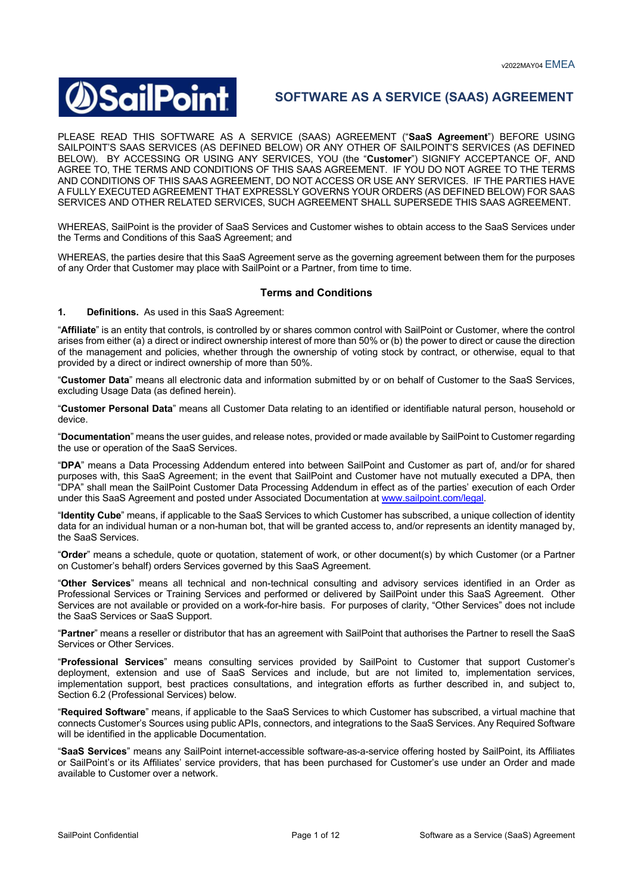# **SailPoint**

# **SOFTWARE AS A SERVICE (SAAS) AGREEMENT**

PLEASE READ THIS SOFTWARE AS A SERVICE (SAAS) AGREEMENT ("**SaaS Agreement**") BEFORE USING SAILPOINT'S SAAS SERVICES (AS DEFINED BELOW) OR ANY OTHER OF SAILPOINT'S SERVICES (AS DEFINED BELOW). BY ACCESSING OR USING ANY SERVICES, YOU (the "**Customer**") SIGNIFY ACCEPTANCE OF, AND AGREE TO, THE TERMS AND CONDITIONS OF THIS SAAS AGREEMENT. IF YOU DO NOT AGREE TO THE TERMS AND CONDITIONS OF THIS SAAS AGREEMENT, DO NOT ACCESS OR USE ANY SERVICES. IF THE PARTIES HAVE A FULLY EXECUTED AGREEMENT THAT EXPRESSLY GOVERNS YOUR ORDERS (AS DEFINED BELOW) FOR SAAS SERVICES AND OTHER RELATED SERVICES, SUCH AGREEMENT SHALL SUPERSEDE THIS SAAS AGREEMENT.

WHEREAS, SailPoint is the provider of SaaS Services and Customer wishes to obtain access to the SaaS Services under the Terms and Conditions of this SaaS Agreement; and

WHEREAS, the parties desire that this SaaS Agreement serve as the governing agreement between them for the purposes of any Order that Customer may place with SailPoint or a Partner, from time to time.

# **Terms and Conditions**

**1. Definitions.** As used in this SaaS Agreement:

"**Affiliate**" is an entity that controls, is controlled by or shares common control with SailPoint or Customer, where the control arises from either (a) a direct or indirect ownership interest of more than 50% or (b) the power to direct or cause the direction of the management and policies, whether through the ownership of voting stock by contract, or otherwise, equal to that provided by a direct or indirect ownership of more than 50%.

"**Customer Data**" means all electronic data and information submitted by or on behalf of Customer to the SaaS Services, excluding Usage Data (as defined herein).

"**Customer Personal Data**" means all Customer Data relating to an identified or identifiable natural person, household or device.

"**Documentation**" means the user guides, and release notes, provided or made available by SailPoint to Customer regarding the use or operation of the SaaS Services.

"**DPA**" means a Data Processing Addendum entered into between SailPoint and Customer as part of, and/or for shared purposes with, this SaaS Agreement; in the event that SailPoint and Customer have not mutually executed a DPA, then "DPA" shall mean the SailPoint Customer Data Processing Addendum in effect as of the parties' execution of each Order under this SaaS Agreement and posted under Associated Documentation at www.sailpoint.com/legal.

"**Identity Cube**" means, if applicable to the SaaS Services to which Customer has subscribed, a unique collection of identity data for an individual human or a non-human bot, that will be granted access to, and/or represents an identity managed by, the SaaS Services.

"**Order**" means a schedule, quote or quotation, statement of work, or other document(s) by which Customer (or a Partner on Customer's behalf) orders Services governed by this SaaS Agreement.

"**Other Services**" means all technical and non-technical consulting and advisory services identified in an Order as Professional Services or Training Services and performed or delivered by SailPoint under this SaaS Agreement. Other Services are not available or provided on a work-for-hire basis. For purposes of clarity, "Other Services" does not include the SaaS Services or SaaS Support.

"**Partner**" means a reseller or distributor that has an agreement with SailPoint that authorises the Partner to resell the SaaS Services or Other Services.

"**Professional Services**" means consulting services provided by SailPoint to Customer that support Customer's deployment, extension and use of SaaS Services and include, but are not limited to, implementation services, implementation support, best practices consultations, and integration efforts as further described in, and subject to, Section 6.2 (Professional Services) below.

"**Required Software**" means, if applicable to the SaaS Services to which Customer has subscribed, a virtual machine that connects Customer's Sources using public APIs, connectors, and integrations to the SaaS Services. Any Required Software will be identified in the applicable Documentation.

"**SaaS Services**" means any SailPoint internet-accessible software-as-a-service offering hosted by SailPoint, its Affiliates or SailPoint's or its Affiliates' service providers, that has been purchased for Customer's use under an Order and made available to Customer over a network.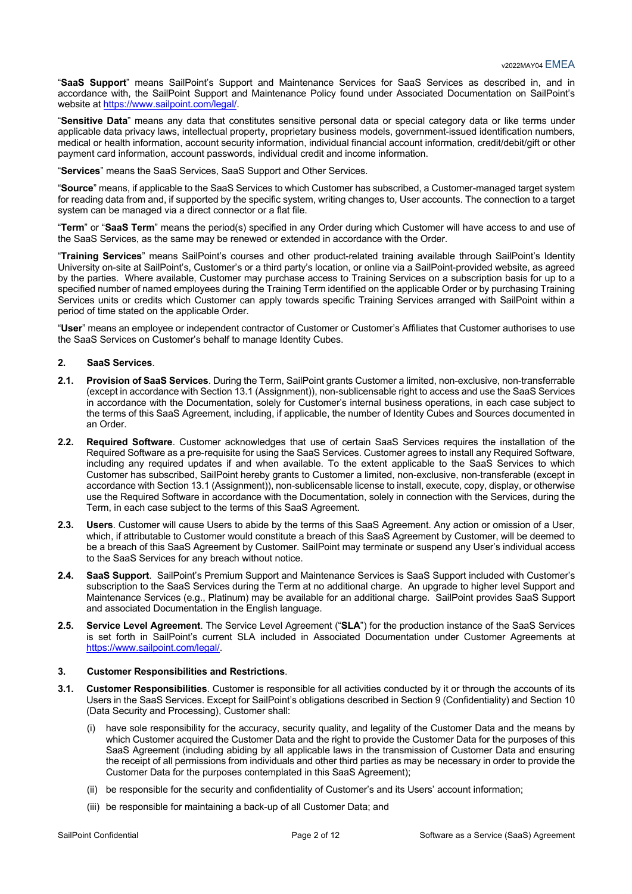"**SaaS Support**" means SailPoint's Support and Maintenance Services for SaaS Services as described in, and in accordance with, the SailPoint Support and Maintenance Policy found under Associated Documentation on SailPoint's website at https://www.sailpoint.com/legal/.

"**Sensitive Data**" means any data that constitutes sensitive personal data or special category data or like terms under applicable data privacy laws, intellectual property, proprietary business models, government-issued identification numbers, medical or health information, account security information, individual financial account information, credit/debit/gift or other payment card information, account passwords, individual credit and income information.

"**Services**" means the SaaS Services, SaaS Support and Other Services.

"**Source**" means, if applicable to the SaaS Services to which Customer has subscribed, a Customer-managed target system for reading data from and, if supported by the specific system, writing changes to, User accounts. The connection to a target system can be managed via a direct connector or a flat file.

"**Term**" or "**SaaS Term**" means the period(s) specified in any Order during which Customer will have access to and use of the SaaS Services, as the same may be renewed or extended in accordance with the Order.

"**Training Services**" means SailPoint's courses and other product-related training available through SailPoint's Identity University on-site at SailPoint's, Customer's or a third party's location, or online via a SailPoint-provided website, as agreed by the parties. Where available, Customer may purchase access to Training Services on a subscription basis for up to a specified number of named employees during the Training Term identified on the applicable Order or by purchasing Training Services units or credits which Customer can apply towards specific Training Services arranged with SailPoint within a period of time stated on the applicable Order.

"**User**" means an employee or independent contractor of Customer or Customer's Affiliates that Customer authorises to use the SaaS Services on Customer's behalf to manage Identity Cubes.

### **2. SaaS Services**.

- **2.1. Provision of SaaS Services**. During the Term, SailPoint grants Customer a limited, non-exclusive, non-transferrable (except in accordance with Section 13.1 (Assignment)), non-sublicensable right to access and use the SaaS Services in accordance with the Documentation, solely for Customer's internal business operations, in each case subject to the terms of this SaaS Agreement, including, if applicable, the number of Identity Cubes and Sources documented in an Order.
- **2.2. Required Software**. Customer acknowledges that use of certain SaaS Services requires the installation of the Required Software as a pre-requisite for using the SaaS Services. Customer agrees to install any Required Software, including any required updates if and when available. To the extent applicable to the SaaS Services to which Customer has subscribed, SailPoint hereby grants to Customer a limited, non-exclusive, non-transferable (except in accordance with Section 13.1 (Assignment)), non-sublicensable license to install, execute, copy, display, or otherwise use the Required Software in accordance with the Documentation, solely in connection with the Services, during the Term, in each case subject to the terms of this SaaS Agreement.
- **2.3. Users**. Customer will cause Users to abide by the terms of this SaaS Agreement. Any action or omission of a User, which, if attributable to Customer would constitute a breach of this SaaS Agreement by Customer, will be deemed to be a breach of this SaaS Agreement by Customer. SailPoint may terminate or suspend any User's individual access to the SaaS Services for any breach without notice.
- **2.4. SaaS Support**. SailPoint's Premium Support and Maintenance Services is SaaS Support included with Customer's subscription to the SaaS Services during the Term at no additional charge. An upgrade to higher level Support and Maintenance Services (e.g., Platinum) may be available for an additional charge. SailPoint provides SaaS Support and associated Documentation in the English language.
- **2.5. Service Level Agreement**. The Service Level Agreement ("**SLA**") for the production instance of the SaaS Services is set forth in SailPoint's current SLA included in Associated Documentation under Customer Agreements at https://www.sailpoint.com/legal/.

#### **3. Customer Responsibilities and Restrictions**.

- **3.1. Customer Responsibilities**. Customer is responsible for all activities conducted by it or through the accounts of its Users in the SaaS Services. Except for SailPoint's obligations described in Section 9 (Confidentiality) and Section 10 (Data Security and Processing), Customer shall:
	- (i) have sole responsibility for the accuracy, security quality, and legality of the Customer Data and the means by which Customer acquired the Customer Data and the right to provide the Customer Data for the purposes of this SaaS Agreement (including abiding by all applicable laws in the transmission of Customer Data and ensuring the receipt of all permissions from individuals and other third parties as may be necessary in order to provide the Customer Data for the purposes contemplated in this SaaS Agreement);
	- (ii) be responsible for the security and confidentiality of Customer's and its Users' account information;
	- (iii) be responsible for maintaining a back-up of all Customer Data; and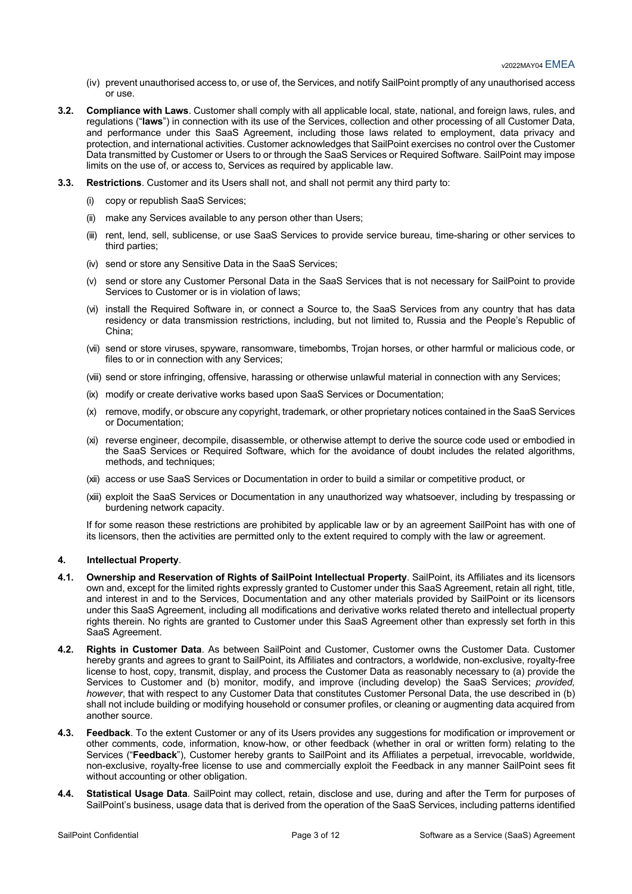- (iv) prevent unauthorised access to, or use of, the Services, and notify SailPoint promptly of any unauthorised access or use.
- **3.2. Compliance with Laws**. Customer shall comply with all applicable local, state, national, and foreign laws, rules, and regulations ("**laws**") in connection with its use of the Services, collection and other processing of all Customer Data, and performance under this SaaS Agreement, including those laws related to employment, data privacy and protection, and international activities. Customer acknowledges that SailPoint exercises no control over the Customer Data transmitted by Customer or Users to or through the SaaS Services or Required Software. SailPoint may impose limits on the use of, or access to, Services as required by applicable law.
- **3.3. Restrictions**. Customer and its Users shall not, and shall not permit any third party to:
	- (i) copy or republish SaaS Services;
	- (ii) make any Services available to any person other than Users;
	- (iii) rent, lend, sell, sublicense, or use SaaS Services to provide service bureau, time-sharing or other services to third parties;
	- (iv) send or store any Sensitive Data in the SaaS Services;
	- (v) send or store any Customer Personal Data in the SaaS Services that is not necessary for SailPoint to provide Services to Customer or is in violation of laws;
	- (vi) install the Required Software in, or connect a Source to, the SaaS Services from any country that has data residency or data transmission restrictions, including, but not limited to, Russia and the People's Republic of China;
	- (vii) send or store viruses, spyware, ransomware, timebombs, Trojan horses, or other harmful or malicious code, or files to or in connection with any Services;
	- (viii) send or store infringing, offensive, harassing or otherwise unlawful material in connection with any Services;
	- (ix) modify or create derivative works based upon SaaS Services or Documentation;
	- (x) remove, modify, or obscure any copyright, trademark, or other proprietary notices contained in the SaaS Services or Documentation;
	- (xi) reverse engineer, decompile, disassemble, or otherwise attempt to derive the source code used or embodied in the SaaS Services or Required Software, which for the avoidance of doubt includes the related algorithms, methods, and techniques;
	- (xii) access or use SaaS Services or Documentation in order to build a similar or competitive product, or
	- (xiii) exploit the SaaS Services or Documentation in any unauthorized way whatsoever, including by trespassing or burdening network capacity.

If for some reason these restrictions are prohibited by applicable law or by an agreement SailPoint has with one of its licensors, then the activities are permitted only to the extent required to comply with the law or agreement.

#### **4. Intellectual Property**.

- **4.1. Ownership and Reservation of Rights of SailPoint Intellectual Property**. SailPoint, its Affiliates and its licensors own and, except for the limited rights expressly granted to Customer under this SaaS Agreement, retain all right, title, and interest in and to the Services, Documentation and any other materials provided by SailPoint or its licensors under this SaaS Agreement, including all modifications and derivative works related thereto and intellectual property rights therein. No rights are granted to Customer under this SaaS Agreement other than expressly set forth in this SaaS Agreement.
- **4.2. Rights in Customer Data**. As between SailPoint and Customer, Customer owns the Customer Data. Customer hereby grants and agrees to grant to SailPoint, its Affiliates and contractors, a worldwide, non-exclusive, royalty-free license to host, copy, transmit, display, and process the Customer Data as reasonably necessary to (a) provide the Services to Customer and (b) monitor, modify, and improve (including develop) the SaaS Services; *provided, however*, that with respect to any Customer Data that constitutes Customer Personal Data, the use described in (b) shall not include building or modifying household or consumer profiles, or cleaning or augmenting data acquired from another source.
- **4.3. Feedback**. To the extent Customer or any of its Users provides any suggestions for modification or improvement or other comments, code, information, know-how, or other feedback (whether in oral or written form) relating to the Services ("**Feedback**"), Customer hereby grants to SailPoint and its Affiliates a perpetual, irrevocable, worldwide, non-exclusive, royalty-free license to use and commercially exploit the Feedback in any manner SailPoint sees fit without accounting or other obligation.
- **4.4. Statistical Usage Data**. SailPoint may collect, retain, disclose and use, during and after the Term for purposes of SailPoint's business, usage data that is derived from the operation of the SaaS Services, including patterns identified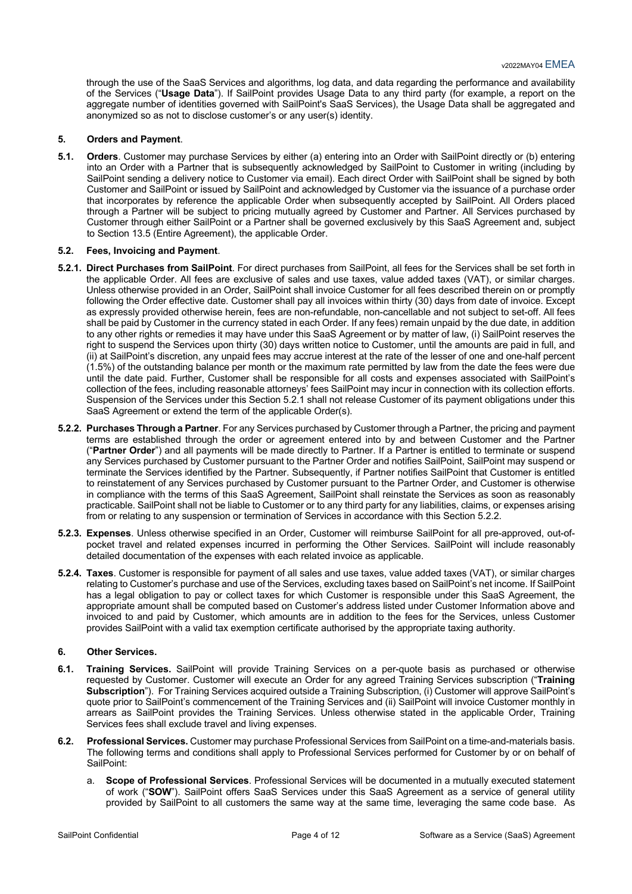through the use of the SaaS Services and algorithms, log data, and data regarding the performance and availability of the Services ("**Usage Data**"). If SailPoint provides Usage Data to any third party (for example, a report on the aggregate number of identities governed with SailPoint's SaaS Services), the Usage Data shall be aggregated and anonymized so as not to disclose customer's or any user(s) identity.

### **5. Orders and Payment**.

**5.1. Orders**. Customer may purchase Services by either (a) entering into an Order with SailPoint directly or (b) entering into an Order with a Partner that is subsequently acknowledged by SailPoint to Customer in writing (including by SailPoint sending a delivery notice to Customer via email). Each direct Order with SailPoint shall be signed by both Customer and SailPoint or issued by SailPoint and acknowledged by Customer via the issuance of a purchase order that incorporates by reference the applicable Order when subsequently accepted by SailPoint. All Orders placed through a Partner will be subject to pricing mutually agreed by Customer and Partner. All Services purchased by Customer through either SailPoint or a Partner shall be governed exclusively by this SaaS Agreement and, subject to Section 13.5 (Entire Agreement), the applicable Order.

#### **5.2. Fees, Invoicing and Payment**.

- **5.2.1. Direct Purchases from SailPoint**. For direct purchases from SailPoint, all fees for the Services shall be set forth in the applicable Order. All fees are exclusive of sales and use taxes, value added taxes (VAT), or similar charges. Unless otherwise provided in an Order, SailPoint shall invoice Customer for all fees described therein on or promptly following the Order effective date. Customer shall pay all invoices within thirty (30) days from date of invoice. Except as expressly provided otherwise herein, fees are non-refundable, non-cancellable and not subject to set-off. All fees shall be paid by Customer in the currency stated in each Order. If any fees) remain unpaid by the due date, in addition to any other rights or remedies it may have under this SaaS Agreement or by matter of law, (i) SailPoint reserves the right to suspend the Services upon thirty (30) days written notice to Customer, until the amounts are paid in full, and (ii) at SailPoint's discretion, any unpaid fees may accrue interest at the rate of the lesser of one and one-half percent  $(1.5%)$  of the outstanding balance per month or the maximum rate permitted by law from the date the fees were due until the date paid. Further, Customer shall be responsible for all costs and expenses associated with SailPoint's collection of the fees, including reasonable attorneys' fees SailPoint may incur in connection with its collection efforts. Suspension of the Services under this Section 5.2.1 shall not release Customer of its payment obligations under this SaaS Agreement or extend the term of the applicable Order(s).
- **5.2.2. Purchases Through a Partner**. For any Services purchased by Customer through a Partner, the pricing and payment terms are established through the order or agreement entered into by and between Customer and the Partner ("**Partner Order**") and all payments will be made directly to Partner. If a Partner is entitled to terminate or suspend any Services purchased by Customer pursuant to the Partner Order and notifies SailPoint, SailPoint may suspend or terminate the Services identified by the Partner. Subsequently, if Partner notifies SailPoint that Customer is entitled to reinstatement of any Services purchased by Customer pursuant to the Partner Order, and Customer is otherwise in compliance with the terms of this SaaS Agreement, SailPoint shall reinstate the Services as soon as reasonably practicable. SailPoint shall not be liable to Customer or to any third party for any liabilities, claims, or expenses arising from or relating to any suspension or termination of Services in accordance with this Section 5.2.2.
- **5.2.3. Expenses**. Unless otherwise specified in an Order, Customer will reimburse SailPoint for all pre-approved, out-ofpocket travel and related expenses incurred in performing the Other Services. SailPoint will include reasonably detailed documentation of the expenses with each related invoice as applicable.
- **5.2.4. Taxes**. Customer is responsible for payment of all sales and use taxes, value added taxes (VAT), or similar charges relating to Customer's purchase and use of the Services, excluding taxes based on SailPoint's net income. If SailPoint has a legal obligation to pay or collect taxes for which Customer is responsible under this SaaS Agreement, the appropriate amount shall be computed based on Customer's address listed under Customer Information above and invoiced to and paid by Customer, which amounts are in addition to the fees for the Services, unless Customer provides SailPoint with a valid tax exemption certificate authorised by the appropriate taxing authority.

#### **6. Other Services.**

- **6.1. Training Services.** SailPoint will provide Training Services on a per-quote basis as purchased or otherwise requested by Customer. Customer will execute an Order for any agreed Training Services subscription ("**Training Subscription**"). For Training Services acquired outside a Training Subscription, (i) Customer will approve SailPoint's quote prior to SailPoint's commencement of the Training Services and (ii) SailPoint will invoice Customer monthly in arrears as SailPoint provides the Training Services. Unless otherwise stated in the applicable Order, Training Services fees shall exclude travel and living expenses.
- **6.2. Professional Services.** Customer may purchase Professional Services from SailPoint on a time-and-materials basis. The following terms and conditions shall apply to Professional Services performed for Customer by or on behalf of SailPoint:
	- a. **Scope of Professional Services**. Professional Services will be documented in a mutually executed statement of work ("**SOW**"). SailPoint offers SaaS Services under this SaaS Agreement as a service of general utility provided by SailPoint to all customers the same way at the same time, leveraging the same code base. As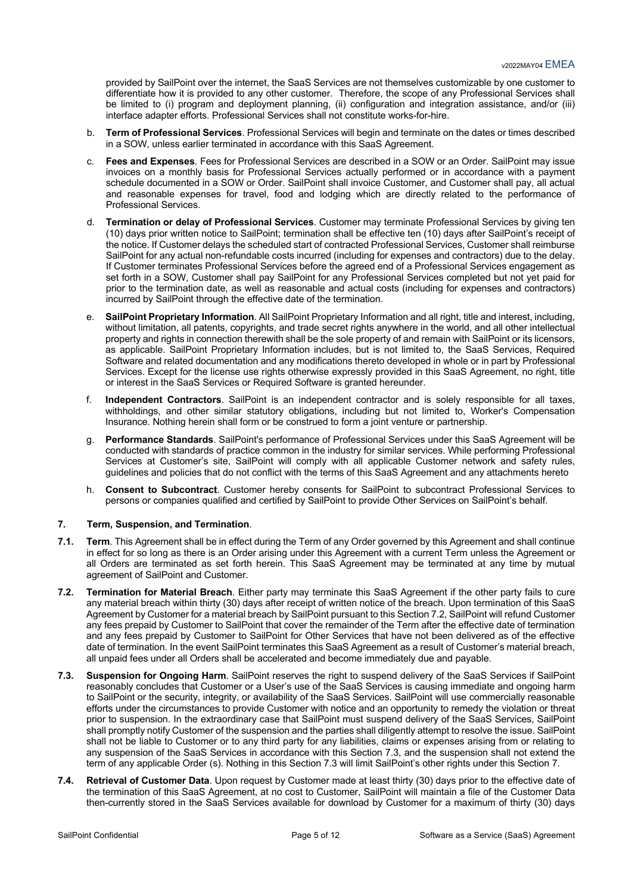provided by SailPoint over the internet, the SaaS Services are not themselves customizable by one customer to differentiate how it is provided to any other customer. Therefore, the scope of any Professional Services shall be limited to (i) program and deployment planning, (ii) configuration and integration assistance, and/or (iii) interface adapter efforts. Professional Services shall not constitute works-for-hire.

- b. **Term of Professional Services**. Professional Services will begin and terminate on the dates or times described in a SOW, unless earlier terminated in accordance with this SaaS Agreement.
- c. **Fees and Expenses**. Fees for Professional Services are described in a SOW or an Order. SailPoint may issue invoices on a monthly basis for Professional Services actually performed or in accordance with a payment schedule documented in a SOW or Order. SailPoint shall invoice Customer, and Customer shall pay, all actual and reasonable expenses for travel, food and lodging which are directly related to the performance of Professional Services.
- d. **Termination or delay of Professional Services**. Customer may terminate Professional Services by giving ten (10) days prior written notice to SailPoint; termination shall be effective ten (10) days after SailPoint's receipt of the notice. If Customer delays the scheduled start of contracted Professional Services, Customer shall reimburse SailPoint for any actual non-refundable costs incurred (including for expenses and contractors) due to the delay. If Customer terminates Professional Services before the agreed end of a Professional Services engagement as set forth in a SOW, Customer shall pay SailPoint for any Professional Services completed but not yet paid for prior to the termination date, as well as reasonable and actual costs (including for expenses and contractors) incurred by SailPoint through the effective date of the termination.
- e. **SailPoint Proprietary Information**. All SailPoint Proprietary Information and all right, title and interest, including, without limitation, all patents, copyrights, and trade secret rights anywhere in the world, and all other intellectual property and rights in connection therewith shall be the sole property of and remain with SailPoint or its licensors, as applicable. SailPoint Proprietary Information includes, but is not limited to, the SaaS Services, Required Software and related documentation and any modifications thereto developed in whole or in part by Professional Services. Except for the license use rights otherwise expressly provided in this SaaS Agreement, no right, title or interest in the SaaS Services or Required Software is granted hereunder.
- f. **Independent Contractors**. SailPoint is an independent contractor and is solely responsible for all taxes, withholdings, and other similar statutory obligations, including but not limited to, Worker's Compensation Insurance. Nothing herein shall form or be construed to form a joint venture or partnership.
- g. **Performance Standards**. SailPoint's performance of Professional Services under this SaaS Agreement will be conducted with standards of practice common in the industry for similar services. While performing Professional Services at Customer's site, SailPoint will comply with all applicable Customer network and safety rules, guidelines and policies that do not conflict with the terms of this SaaS Agreement and any attachments hereto
- h. **Consent to Subcontract**. Customer hereby consents for SailPoint to subcontract Professional Services to persons or companies qualified and certified by SailPoint to provide Other Services on SailPoint's behalf.

# **7. Term, Suspension, and Termination**.

- **7.1. Term**. This Agreement shall be in effect during the Term of any Order governed by this Agreement and shall continue in effect for so long as there is an Order arising under this Agreement with a current Term unless the Agreement or all Orders are terminated as set forth herein. This SaaS Agreement may be terminated at any time by mutual agreement of SailPoint and Customer.
- **7.2. Termination for Material Breach**. Either party may terminate this SaaS Agreement if the other party fails to cure any material breach within thirty (30) days after receipt of written notice of the breach. Upon termination of this SaaS Agreement by Customer for a material breach by SailPoint pursuant to this Section 7.2, SailPoint will refund Customer any fees prepaid by Customer to SailPoint that cover the remainder of the Term after the effective date of termination and any fees prepaid by Customer to SailPoint for Other Services that have not been delivered as of the effective date of termination. In the event SailPoint terminates this SaaS Agreement as a result of Customer's material breach, all unpaid fees under all Orders shall be accelerated and become immediately due and payable.
- **7.3. Suspension for Ongoing Harm**. SailPoint reserves the right to suspend delivery of the SaaS Services if SailPoint reasonably concludes that Customer or a User's use of the SaaS Services is causing immediate and ongoing harm to SailPoint or the security, integrity, or availability of the SaaS Services. SailPoint will use commercially reasonable efforts under the circumstances to provide Customer with notice and an opportunity to remedy the violation or threat prior to suspension. In the extraordinary case that SailPoint must suspend delivery of the SaaS Services, SailPoint shall promptly notify Customer of the suspension and the parties shall diligently attempt to resolve the issue. SailPoint shall not be liable to Customer or to any third party for any liabilities, claims or expenses arising from or relating to any suspension of the SaaS Services in accordance with this Section 7.3, and the suspension shall not extend the term of any applicable Order (s). Nothing in this Section 7.3 will limit SailPoint's other rights under this Section 7.
- **7.4. Retrieval of Customer Data**. Upon request by Customer made at least thirty (30) days prior to the effective date of the termination of this SaaS Agreement, at no cost to Customer, SailPoint will maintain a file of the Customer Data then-currently stored in the SaaS Services available for download by Customer for a maximum of thirty (30) days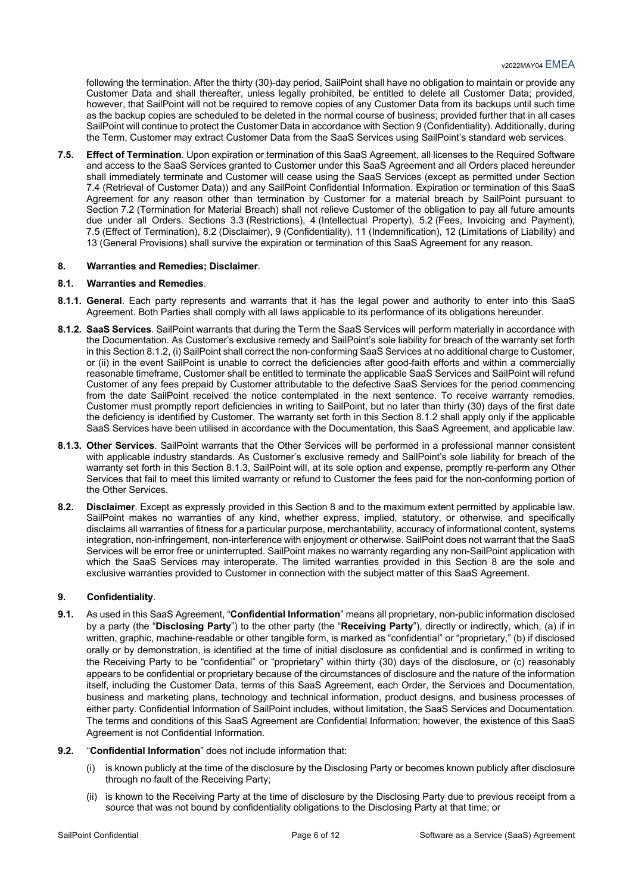following the termination. After the thirty (30)-day period, SailPoint shall have no obligation to maintain or provide any Customer Data and shall thereafter, unless legally prohibited, be entitled to delete all Customer Data; provided, however, that SailPoint will not be required to remove copies of any Customer Data from its backups until such time as the backup copies are scheduled to be deleted in the normal course of business; provided further that in all cases SailPoint will continue to protect the Customer Data in accordance with Section 9 (Confidentiality). Additionally, during the Term, Customer may extract Customer Data from the SaaS Services using SailPoint's standard web services.

**7.5. Effect of Termination**. Upon expiration or termination of this SaaS Agreement, all licenses to the Required Software and access to the SaaS Services granted to Customer under this SaaS Agreement and all Orders placed hereunder shall immediately terminate and Customer will cease using the SaaS Services (except as permitted under Section 7.4 (Retrieval of Customer Data)) and any SailPoint Confidential Information. Expiration or termination of this SaaS Agreement for any reason other than termination by Customer for a material breach by SailPoint pursuant to Section 7.2 (Termination for Material Breach) shall not relieve Customer of the obligation to pay all future amounts due under all Orders. Sections 3.3 (Restrictions), 4 (Intellectual Property), 5.2 (Fees, Invoicing and Payment), 7.5 (Effect of Termination), 8.2 (Disclaimer), 9 (Confidentiality), 11 (Indemnification), 12 (Limitations of Liability) and 13 (General Provisions) shall survive the expiration or termination of this SaaS Agreement for any reason.

# **8. Warranties and Remedies; Disclaimer**.

## **8.1. Warranties and Remedies**.

- **8.1.1. General**. Each party represents and warrants that it has the legal power and authority to enter into this SaaS Agreement. Both Parties shall comply with all laws applicable to its performance of its obligations hereunder.
- **8.1.2. SaaS Services**. SailPoint warrants that during the Term the SaaS Services will perform materially in accordance with the Documentation. As Customer's exclusive remedy and SailPoint's sole liability for breach of the warranty set forth in this Section 8.1.2, (i) SailPoint shall correct the non-conforming SaaS Services at no additional charge to Customer, or (ii) in the event SailPoint is unable to correct the deficiencies after good-faith efforts and within a commercially reasonable timeframe, Customer shall be entitled to terminate the applicable SaaS Services and SailPoint will refund Customer of any fees prepaid by Customer attributable to the defective SaaS Services for the period commencing from the date SailPoint received the notice contemplated in the next sentence. To receive warranty remedies, Customer must promptly report deficiencies in writing to SailPoint, but no later than thirty (30) days of the first date the deficiency is identified by Customer. The warranty set forth in this Section 8.1.2 shall apply only if the applicable SaaS Services have been utilised in accordance with the Documentation, this SaaS Agreement, and applicable law.
- **8.1.3. Other Services**. SailPoint warrants that the Other Services will be performed in a professional manner consistent with applicable industry standards. As Customer's exclusive remedy and SailPoint's sole liability for breach of the warranty set forth in this Section 8.1.3, SailPoint will, at its sole option and expense, promptly re-perform any Other Services that fail to meet this limited warranty or refund to Customer the fees paid for the non-conforming portion of the Other Services.
- **8.2. Disclaimer**. Except as expressly provided in this Section 8 and to the maximum extent permitted by applicable law, SailPoint makes no warranties of any kind, whether express, implied, statutory, or otherwise, and specifically disclaims all warranties of fitness for a particular purpose, merchantability, accuracy of informational content, systems integration, non-infringement, non-interference with enjoyment or otherwise. SailPoint does not warrant that the SaaS Services will be error free or uninterrupted. SailPoint makes no warranty regarding any non-SailPoint application with which the SaaS Services may interoperate. The limited warranties provided in this Section 8 are the sole and exclusive warranties provided to Customer in connection with the subject matter of this SaaS Agreement.

# **9. Confidentiality**.

- **9.1.** As used in this SaaS Agreement, "**Confidential Information**" means all proprietary, non-public information disclosed by a party (the "**Disclosing Party**") to the other party (the "**Receiving Party**"), directly or indirectly, which, (a) if in written, graphic, machine-readable or other tangible form, is marked as "confidential" or "proprietary," (b) if disclosed orally or by demonstration, is identified at the time of initial disclosure as confidential and is confirmed in writing to the Receiving Party to be "confidential" or "proprietary" within thirty (30) days of the disclosure, or (c) reasonably appears to be confidential or proprietary because of the circumstances of disclosure and the nature of the information itself, including the Customer Data, terms of this SaaS Agreement, each Order, the Services and Documentation, business and marketing plans, technology and technical information, product designs, and business processes of either party. Confidential Information of SailPoint includes, without limitation, the SaaS Services and Documentation. The terms and conditions of this SaaS Agreement are Confidential Information; however, the existence of this SaaS Agreement is not Confidential Information.
- **9.2.** "**Confidential Information**" does not include information that:
	- (i) is known publicly at the time of the disclosure by the Disclosing Party or becomes known publicly after disclosure through no fault of the Receiving Party;
	- (ii) is known to the Receiving Party at the time of disclosure by the Disclosing Party due to previous receipt from a source that was not bound by confidentiality obligations to the Disclosing Party at that time; or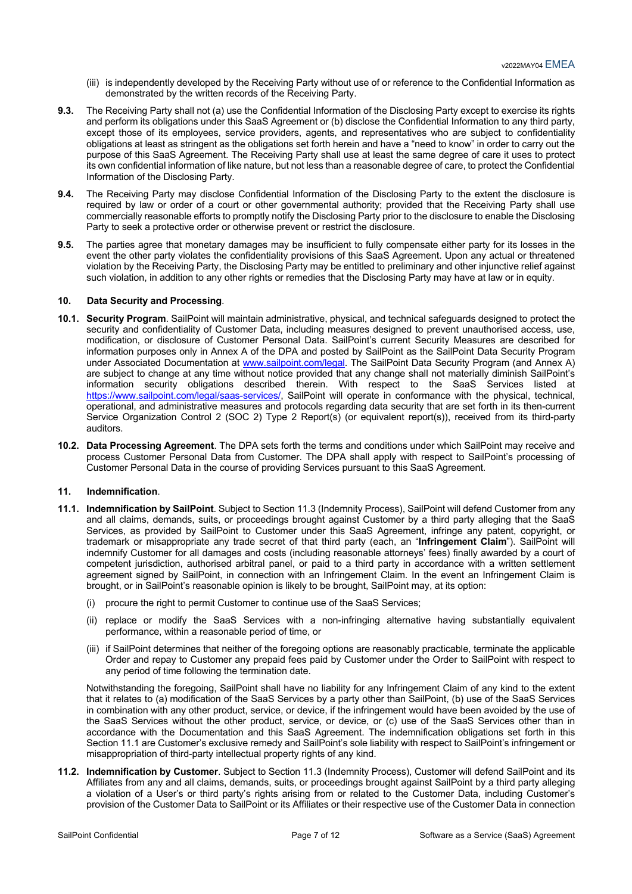- (iii) is independently developed by the Receiving Party without use of or reference to the Confidential Information as demonstrated by the written records of the Receiving Party.
- **9.3.** The Receiving Party shall not (a) use the Confidential Information of the Disclosing Party except to exercise its rights and perform its obligations under this SaaS Agreement or (b) disclose the Confidential Information to any third party, except those of its employees, service providers, agents, and representatives who are subject to confidentiality obligations at least as stringent as the obligations set forth herein and have a "need to know" in order to carry out the purpose of this SaaS Agreement. The Receiving Party shall use at least the same degree of care it uses to protect its own confidential information of like nature, but not less than a reasonable degree of care, to protect the Confidential Information of the Disclosing Party.
- **9.4.** The Receiving Party may disclose Confidential Information of the Disclosing Party to the extent the disclosure is required by law or order of a court or other governmental authority; provided that the Receiving Party shall use commercially reasonable efforts to promptly notify the Disclosing Party prior to the disclosure to enable the Disclosing Party to seek a protective order or otherwise prevent or restrict the disclosure.
- **9.5.** The parties agree that monetary damages may be insufficient to fully compensate either party for its losses in the event the other party violates the confidentiality provisions of this SaaS Agreement. Upon any actual or threatened violation by the Receiving Party, the Disclosing Party may be entitled to preliminary and other injunctive relief against such violation, in addition to any other rights or remedies that the Disclosing Party may have at law or in equity.

### **10. Data Security and Processing**.

- **10.1. Security Program**. SailPoint will maintain administrative, physical, and technical safeguards designed to protect the security and confidentiality of Customer Data, including measures designed to prevent unauthorised access, use, modification, or disclosure of Customer Personal Data. SailPoint's current Security Measures are described for information purposes only in Annex A of the DPA and posted by SailPoint as the SailPoint Data Security Program under Associated Documentation at www.sailpoint.com/legal. The SailPoint Data Security Program (and Annex A) are subject to change at any time without notice provided that any change shall not materially diminish SailPoint's information security obligations described therein. With respect to the SaaS Services listed at https://www.sailpoint.com/legal/saas-services/, SailPoint will operate in conformance with the physical, technical, operational, and administrative measures and protocols regarding data security that are set forth in its then-current Service Organization Control 2 (SOC 2) Type 2 Report(s) (or equivalent report(s)), received from its third-party auditors.
- **10.2. Data Processing Agreement**. The DPA sets forth the terms and conditions under which SailPoint may receive and process Customer Personal Data from Customer. The DPA shall apply with respect to SailPoint's processing of Customer Personal Data in the course of providing Services pursuant to this SaaS Agreement.

# **11. Indemnification**.

- **11.1. Indemnification by SailPoint**. Subject to Section 11.3 (Indemnity Process), SailPoint will defend Customer from any and all claims, demands, suits, or proceedings brought against Customer by a third party alleging that the SaaS Services, as provided by SailPoint to Customer under this SaaS Agreement, infringe any patent, copyright, or trademark or misappropriate any trade secret of that third party (each, an "**Infringement Claim**"). SailPoint will indemnify Customer for all damages and costs (including reasonable attorneys' fees) finally awarded by a court of competent jurisdiction, authorised arbitral panel, or paid to a third party in accordance with a written settlement agreement signed by SailPoint, in connection with an Infringement Claim. In the event an Infringement Claim is brought, or in SailPoint's reasonable opinion is likely to be brought, SailPoint may, at its option:
	- (i) procure the right to permit Customer to continue use of the SaaS Services;
	- (ii) replace or modify the SaaS Services with a non-infringing alternative having substantially equivalent performance, within a reasonable period of time, or
	- (iii) if SailPoint determines that neither of the foregoing options are reasonably practicable, terminate the applicable Order and repay to Customer any prepaid fees paid by Customer under the Order to SailPoint with respect to any period of time following the termination date.

Notwithstanding the foregoing, SailPoint shall have no liability for any Infringement Claim of any kind to the extent that it relates to (a) modification of the SaaS Services by a party other than SailPoint, (b) use of the SaaS Services in combination with any other product, service, or device, if the infringement would have been avoided by the use of the SaaS Services without the other product, service, or device, or (c) use of the SaaS Services other than in accordance with the Documentation and this SaaS Agreement. The indemnification obligations set forth in this Section 11.1 are Customer's exclusive remedy and SailPoint's sole liability with respect to SailPoint's infringement or misappropriation of third-party intellectual property rights of any kind.

**11.2. Indemnification by Customer**. Subject to Section 11.3 (Indemnity Process), Customer will defend SailPoint and its Affiliates from any and all claims, demands, suits, or proceedings brought against SailPoint by a third party alleging a violation of a User's or third party's rights arising from or related to the Customer Data, including Customer's provision of the Customer Data to SailPoint or its Affiliates or their respective use of the Customer Data in connection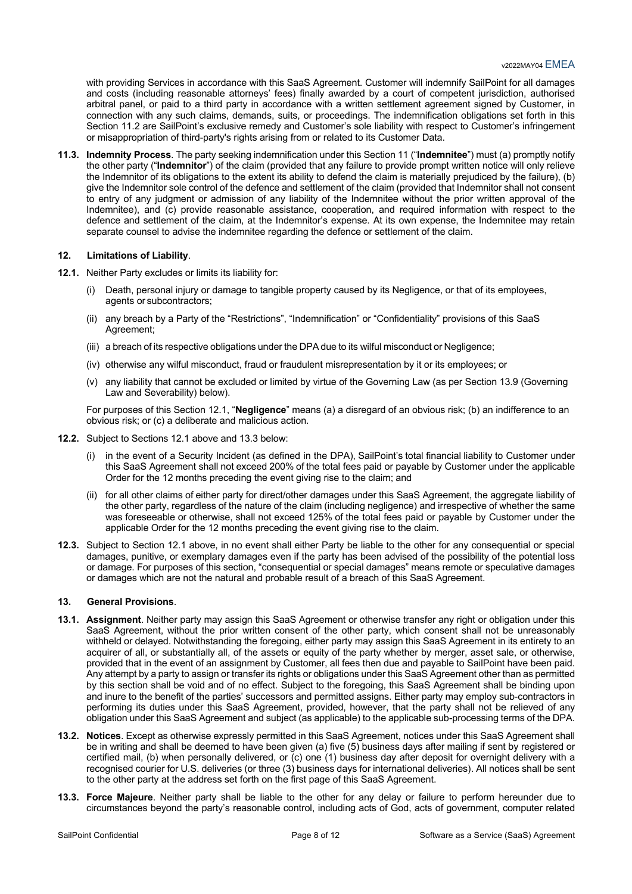with providing Services in accordance with this SaaS Agreement. Customer will indemnify SailPoint for all damages and costs (including reasonable attorneys' fees) finally awarded by a court of competent jurisdiction, authorised arbitral panel, or paid to a third party in accordance with a written settlement agreement signed by Customer, in connection with any such claims, demands, suits, or proceedings. The indemnification obligations set forth in this Section 11.2 are SailPoint's exclusive remedy and Customer's sole liability with respect to Customer's infringement or misappropriation of third-party's rights arising from or related to its Customer Data.

**11.3. Indemnity Process**. The party seeking indemnification under this Section 11 ("**Indemnitee**") must (a) promptly notify the other party ("**Indemnitor**") of the claim (provided that any failure to provide prompt written notice will only relieve the Indemnitor of its obligations to the extent its ability to defend the claim is materially prejudiced by the failure), (b) give the Indemnitor sole control of the defence and settlement of the claim (provided that Indemnitor shall not consent to entry of any judgment or admission of any liability of the Indemnitee without the prior written approval of the Indemnitee), and (c) provide reasonable assistance, cooperation, and required information with respect to the defence and settlement of the claim, at the Indemnitor's expense. At its own expense, the Indemnitee may retain separate counsel to advise the indemnitee regarding the defence or settlement of the claim.

### **12. Limitations of Liability**.

- **12.1.** Neither Party excludes or limits its liability for:
	- (i) Death, personal injury or damage to tangible property caused by its Negligence, or that of its employees, agents or subcontractors;
	- (ii) any breach by a Party of the "Restrictions", "Indemnification" or "Confidentiality" provisions of this SaaS Agreement;
	- (iii) a breach of its respective obligations under the DPA due to its wilful misconduct or Negligence;
	- (iv) otherwise any wilful misconduct, fraud or fraudulent misrepresentation by it or its employees; or
	- (v) any liability that cannot be excluded or limited by virtue of the Governing Law (as per Section 13.9 (Governing Law and Severability) below).

For purposes of this Section 12.1, "**Negligence**" means (a) a disregard of an obvious risk; (b) an indifference to an obvious risk; or (c) a deliberate and malicious action.

- **12.2.** Subject to Sections 12.1 above and 13.3 below:
	- (i) in the event of a Security Incident (as defined in the DPA), SailPoint's total financial liability to Customer under this SaaS Agreement shall not exceed 200% of the total fees paid or payable by Customer under the applicable Order for the 12 months preceding the event giving rise to the claim; and
	- (ii) for all other claims of either party for direct/other damages under this SaaS Agreement, the aggregate liability of the other party, regardless of the nature of the claim (including negligence) and irrespective of whether the same was foreseeable or otherwise, shall not exceed 125% of the total fees paid or payable by Customer under the applicable Order for the 12 months preceding the event giving rise to the claim.
- **12.3.** Subject to Section 12.1 above, in no event shall either Party be liable to the other for any consequential or special damages, punitive, or exemplary damages even if the party has been advised of the possibility of the potential loss or damage. For purposes of this section, "consequential or special damages" means remote or speculative damages or damages which are not the natural and probable result of a breach of this SaaS Agreement.

# **13. General Provisions**.

- **13.1. Assignment**. Neither party may assign this SaaS Agreement or otherwise transfer any right or obligation under this SaaS Agreement, without the prior written consent of the other party, which consent shall not be unreasonably withheld or delayed. Notwithstanding the foregoing, either party may assign this SaaS Agreement in its entirety to an acquirer of all, or substantially all, of the assets or equity of the party whether by merger, asset sale, or otherwise, provided that in the event of an assignment by Customer, all fees then due and payable to SailPoint have been paid. Any attempt by a party to assign or transfer its rights or obligations under this SaaS Agreement other than as permitted by this section shall be void and of no effect. Subject to the foregoing, this SaaS Agreement shall be binding upon and inure to the benefit of the parties' successors and permitted assigns. Either party may employ sub-contractors in performing its duties under this SaaS Agreement, provided, however, that the party shall not be relieved of any obligation under this SaaS Agreement and subject (as applicable) to the applicable sub-processing terms of the DPA.
- **13.2. Notices**. Except as otherwise expressly permitted in this SaaS Agreement, notices under this SaaS Agreement shall be in writing and shall be deemed to have been given (a) five (5) business days after mailing if sent by registered or certified mail, (b) when personally delivered, or (c) one (1) business day after deposit for overnight delivery with a recognised courier for U.S. deliveries (or three (3) business days for international deliveries). All notices shall be sent to the other party at the address set forth on the first page of this SaaS Agreement.
- **13.3. Force Majeure**. Neither party shall be liable to the other for any delay or failure to perform hereunder due to circumstances beyond the party's reasonable control, including acts of God, acts of government, computer related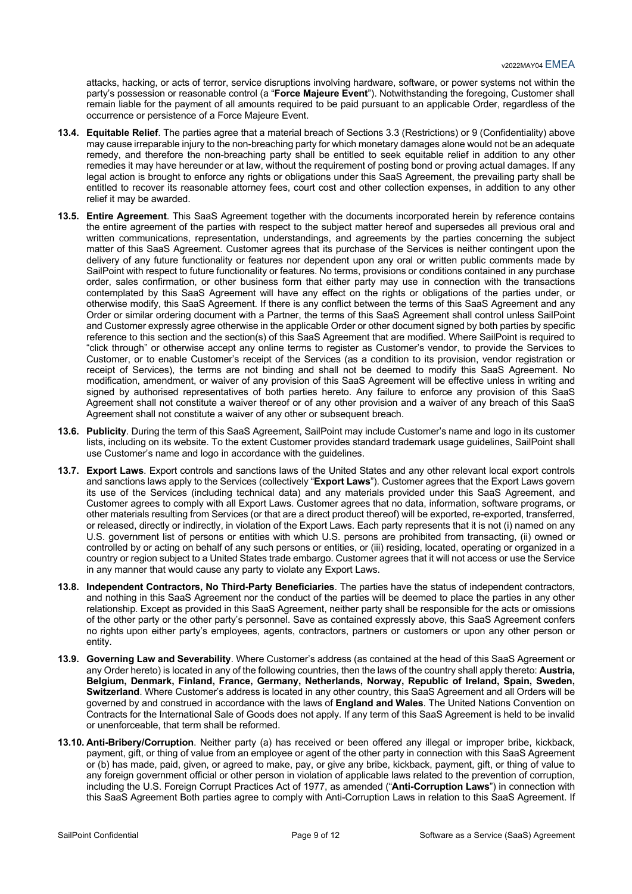attacks, hacking, or acts of terror, service disruptions involving hardware, software, or power systems not within the party's possession or reasonable control (a "**Force Majeure Event**"). Notwithstanding the foregoing, Customer shall remain liable for the payment of all amounts required to be paid pursuant to an applicable Order, regardless of the occurrence or persistence of a Force Majeure Event.

- **13.4. Equitable Relief**. The parties agree that a material breach of Sections 3.3 (Restrictions) or 9 (Confidentiality) above may cause irreparable injury to the non-breaching party for which monetary damages alone would not be an adequate remedy, and therefore the non-breaching party shall be entitled to seek equitable relief in addition to any other remedies it may have hereunder or at law, without the requirement of posting bond or proving actual damages. If any legal action is brought to enforce any rights or obligations under this SaaS Agreement, the prevailing party shall be entitled to recover its reasonable attorney fees, court cost and other collection expenses, in addition to any other relief it may be awarded.
- **13.5. Entire Agreement**. This SaaS Agreement together with the documents incorporated herein by reference contains the entire agreement of the parties with respect to the subject matter hereof and supersedes all previous oral and written communications, representation, understandings, and agreements by the parties concerning the subject matter of this SaaS Agreement. Customer agrees that its purchase of the Services is neither contingent upon the delivery of any future functionality or features nor dependent upon any oral or written public comments made by SailPoint with respect to future functionality or features. No terms, provisions or conditions contained in any purchase order, sales confirmation, or other business form that either party may use in connection with the transactions contemplated by this SaaS Agreement will have any effect on the rights or obligations of the parties under, or otherwise modify, this SaaS Agreement. If there is any conflict between the terms of this SaaS Agreement and any Order or similar ordering document with a Partner, the terms of this SaaS Agreement shall control unless SailPoint and Customer expressly agree otherwise in the applicable Order or other document signed by both parties by specific reference to this section and the section(s) of this SaaS Agreement that are modified. Where SailPoint is required to "click through" or otherwise accept any online terms to register as Customer's vendor, to provide the Services to Customer, or to enable Customer's receipt of the Services (as a condition to its provision, vendor registration or receipt of Services), the terms are not binding and shall not be deemed to modify this SaaS Agreement. No modification, amendment, or waiver of any provision of this SaaS Agreement will be effective unless in writing and signed by authorised representatives of both parties hereto. Any failure to enforce any provision of this SaaS Agreement shall not constitute a waiver thereof or of any other provision and a waiver of any breach of this SaaS Agreement shall not constitute a waiver of any other or subsequent breach.
- **13.6. Publicity**. During the term of this SaaS Agreement, SailPoint may include Customer's name and logo in its customer lists, including on its website. To the extent Customer provides standard trademark usage guidelines, SailPoint shall use Customer's name and logo in accordance with the guidelines.
- **13.7. Export Laws**. Export controls and sanctions laws of the United States and any other relevant local export controls and sanctions laws apply to the Services (collectively "**Export Laws**"). Customer agrees that the Export Laws govern its use of the Services (including technical data) and any materials provided under this SaaS Agreement, and Customer agrees to comply with all Export Laws. Customer agrees that no data, information, software programs, or other materials resulting from Services (or that are a direct product thereof) will be exported, re-exported, transferred, or released, directly or indirectly, in violation of the Export Laws. Each party represents that it is not (i) named on any U.S. government list of persons or entities with which U.S. persons are prohibited from transacting, (ii) owned or controlled by or acting on behalf of any such persons or entities, or (iii) residing, located, operating or organized in a country or region subject to a United States trade embargo. Customer agrees that it will not access or use the Service in any manner that would cause any party to violate any Export Laws.
- **13.8. Independent Contractors, No Third-Party Beneficiaries**. The parties have the status of independent contractors, and nothing in this SaaS Agreement nor the conduct of the parties will be deemed to place the parties in any other relationship. Except as provided in this SaaS Agreement, neither party shall be responsible for the acts or omissions of the other party or the other party's personnel. Save as contained expressly above, this SaaS Agreement confers no rights upon either party's employees, agents, contractors, partners or customers or upon any other person or entity.
- **13.9. Governing Law and Severability**. Where Customer's address (as contained at the head of this SaaS Agreement or any Order hereto) is located in any of the following countries, then the laws of the country shall apply thereto: **Austria, Belgium, Denmark, Finland, France, Germany, Netherlands, Norway, Republic of Ireland, Spain, Sweden, Switzerland**. Where Customer's address is located in any other country, this SaaS Agreement and all Orders will be governed by and construed in accordance with the laws of **England and Wales**. The United Nations Convention on Contracts for the International Sale of Goods does not apply. If any term of this SaaS Agreement is held to be invalid or unenforceable, that term shall be reformed.
- **13.10. Anti-Bribery/Corruption**. Neither party (a) has received or been offered any illegal or improper bribe, kickback, payment, gift, or thing of value from an employee or agent of the other party in connection with this SaaS Agreement or (b) has made, paid, given, or agreed to make, pay, or give any bribe, kickback, payment, gift, or thing of value to any foreign government official or other person in violation of applicable laws related to the prevention of corruption, including the U.S. Foreign Corrupt Practices Act of 1977, as amended ("**Anti-Corruption Laws**") in connection with this SaaS Agreement Both parties agree to comply with Anti-Corruption Laws in relation to this SaaS Agreement. If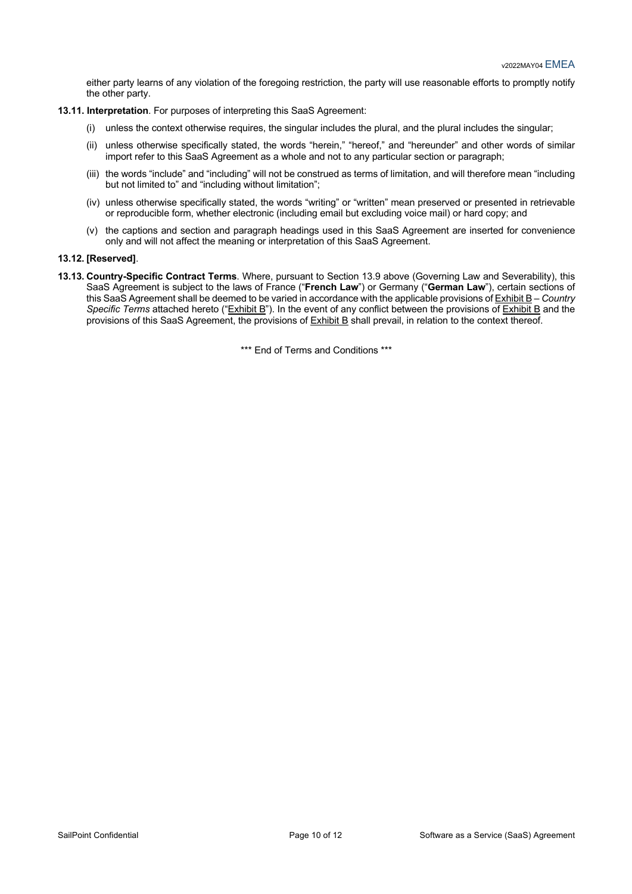either party learns of any violation of the foregoing restriction, the party will use reasonable efforts to promptly notify the other party.

- **13.11. Interpretation**. For purposes of interpreting this SaaS Agreement:
	- (i) unless the context otherwise requires, the singular includes the plural, and the plural includes the singular;
	- (ii) unless otherwise specifically stated, the words "herein," "hereof," and "hereunder" and other words of similar import refer to this SaaS Agreement as a whole and not to any particular section or paragraph;
	- (iii) the words "include" and "including" will not be construed as terms of limitation, and will therefore mean "including but not limited to" and "including without limitation";
	- (iv) unless otherwise specifically stated, the words "writing" or "written" mean preserved or presented in retrievable or reproducible form, whether electronic (including email but excluding voice mail) or hard copy; and
	- (v) the captions and section and paragraph headings used in this SaaS Agreement are inserted for convenience only and will not affect the meaning or interpretation of this SaaS Agreement.

#### **13.12. [Reserved]**.

**13.13. Country-Specific Contract Terms**. Where, pursuant to Section 13.9 above (Governing Law and Severability), this SaaS Agreement is subject to the laws of France ("**French Law**") or Germany ("**German Law**"), certain sections of this SaaS Agreement shall be deemed to be varied in accordance with the applicable provisions of Exhibit B – *Country Specific Terms* attached hereto ("Exhibit B"). In the event of any conflict between the provisions of Exhibit B and the provisions of this SaaS Agreement, the provisions of Exhibit B shall prevail, in relation to the context thereof.

\*\*\* End of Terms and Conditions \*\*\*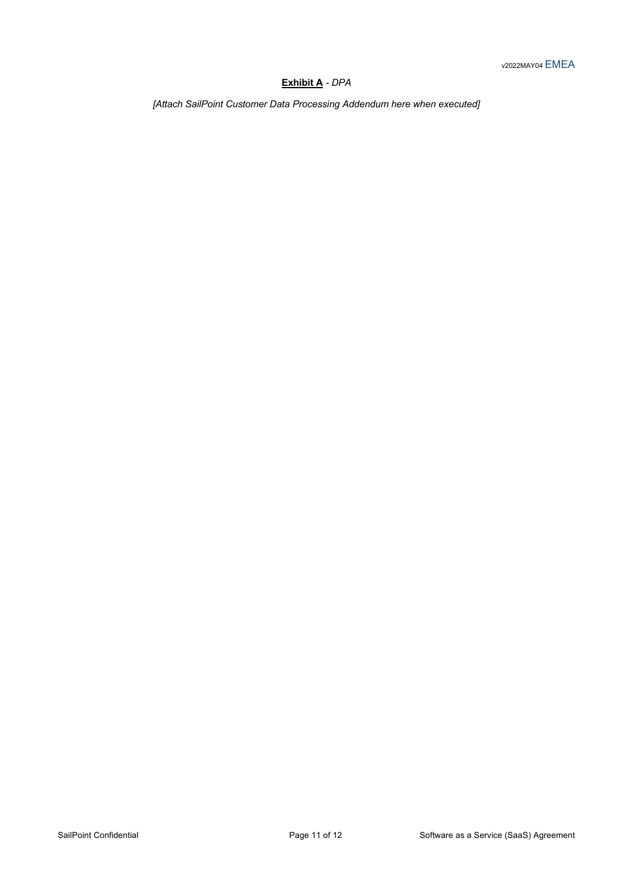# **Exhibit A** *- DPA*

*[Attach SailPoint Customer Data Processing Addendum here when executed]*